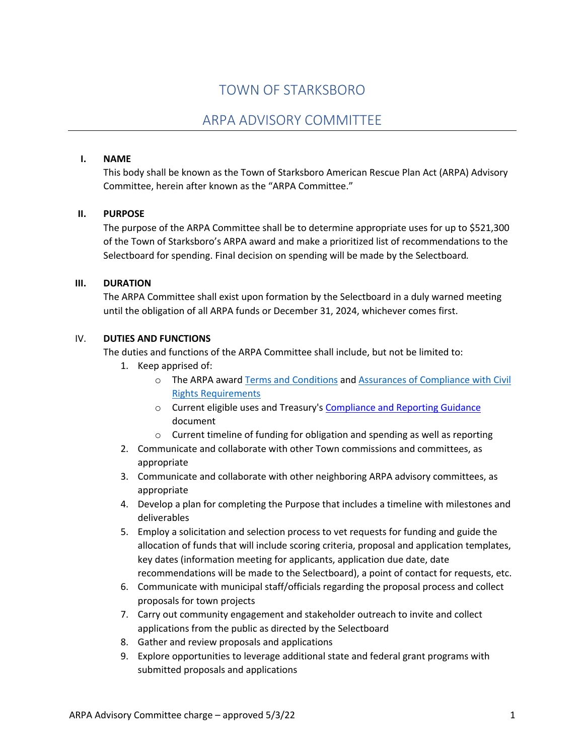# TOWN OF STARKSBORO

# ARPA ADVISORY COMMITTEE

#### **I. NAME**

This body shall be known as the Town of Starksboro American Rescue Plan Act (ARPA) Advisory Committee, herein after known as the "ARPA Committee."

#### **II. PURPOSE**

The purpose of the ARPA Committee shall be to determine appropriate uses for up to \$521,300 of the Town of Starksboro's ARPA award and make a prioritized list of recommendations to the Selectboard for spending. Final decision on spending will be made by the Selectboard*.*

#### **III. DURATION**

The ARPA Committee shall exist upon formation by the Selectboard in a duly warned meeting until the obligation of all ARPA funds or December 31, 2024, whichever comes first.

#### IV. **DUTIES AND FUNCTIONS**

The duties and functions of the ARPA Committee shall include, but not be limited to:

- 1. Keep apprised of:
	- o The ARPA award Terms and Conditions and Assurances of Compliance with Civil Rights Requirements
	- o Current eligible uses and Treasury's Compliance and Reporting Guidance document
	- o Current timeline of funding for obligation and spending as well as reporting
- 2. Communicate and collaborate with other Town commissions and committees, as appropriate
- 3. Communicate and collaborate with other neighboring ARPA advisory committees, as appropriate
- 4. Develop a plan for completing the Purpose that includes a timeline with milestones and deliverables
- 5. Employ a solicitation and selection process to vet requests for funding and guide the allocation of funds that will include scoring criteria, proposal and application templates, key dates (information meeting for applicants, application due date, date recommendations will be made to the Selectboard), a point of contact for requests, etc.
- 6. Communicate with municipal staff/officials regarding the proposal process and collect proposals for town projects
- 7. Carry out community engagement and stakeholder outreach to invite and collect applications from the public as directed by the Selectboard
- 8. Gather and review proposals and applications
- 9. Explore opportunities to leverage additional state and federal grant programs with submitted proposals and applications